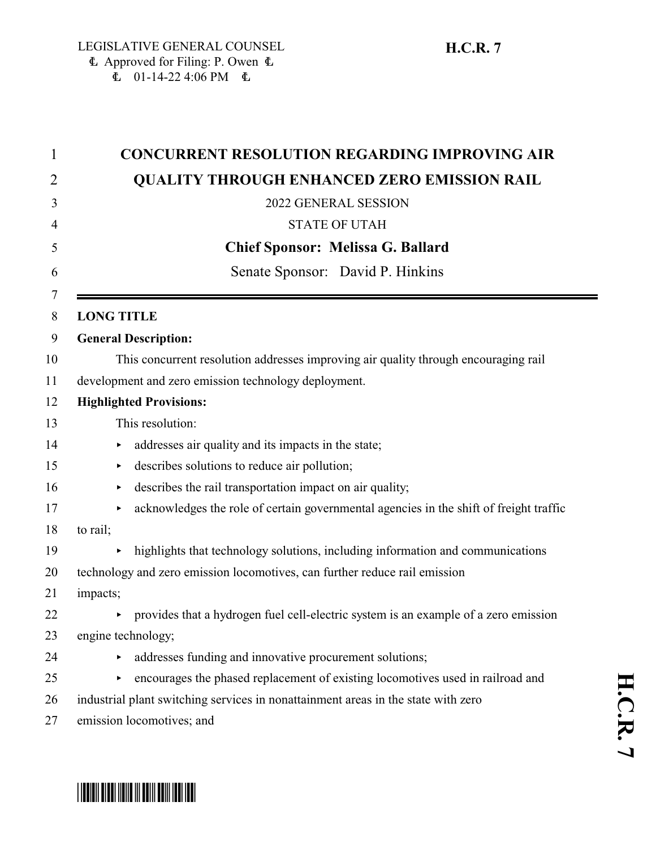| $\mathbf 1$ | <b>CONCURRENT RESOLUTION REGARDING IMPROVING AIR</b>                                        |  |
|-------------|---------------------------------------------------------------------------------------------|--|
| 2           | <b>QUALITY THROUGH ENHANCED ZERO EMISSION RAIL</b>                                          |  |
| 3           | 2022 GENERAL SESSION                                                                        |  |
| 4           | <b>STATE OF UTAH</b>                                                                        |  |
| 5           | <b>Chief Sponsor: Melissa G. Ballard</b>                                                    |  |
| 6           | Senate Sponsor: David P. Hinkins                                                            |  |
| 7<br>8      | <b>LONG TITLE</b>                                                                           |  |
| 9           | <b>General Description:</b>                                                                 |  |
| 10          | This concurrent resolution addresses improving air quality through encouraging rail         |  |
| 11          | development and zero emission technology deployment.                                        |  |
| 12          | <b>Highlighted Provisions:</b>                                                              |  |
| 13          | This resolution:                                                                            |  |
| 14          | addresses air quality and its impacts in the state;<br>▶                                    |  |
| 15          | describes solutions to reduce air pollution;<br>▶                                           |  |
| 16          | describes the rail transportation impact on air quality;<br>▶                               |  |
| 17          | acknowledges the role of certain governmental agencies in the shift of freight traffic<br>▶ |  |
| 18          | to rail;                                                                                    |  |
| 19          | highlights that technology solutions, including information and communications<br>▶         |  |
| 20          | technology and zero emission locomotives, can further reduce rail emission                  |  |
| 21          | impacts;                                                                                    |  |
| 22          | provides that a hydrogen fuel cell-electric system is an example of a zero emission         |  |
| 23          | engine technology;                                                                          |  |
| 24          | addresses funding and innovative procurement solutions;<br>▶                                |  |
| 25          | encourages the phased replacement of existing locomotives used in railroad and<br>▶         |  |
| 26          | industrial plant switching services in nonattainment areas in the state with zero           |  |
| 27          | emission locomotives; and                                                                   |  |

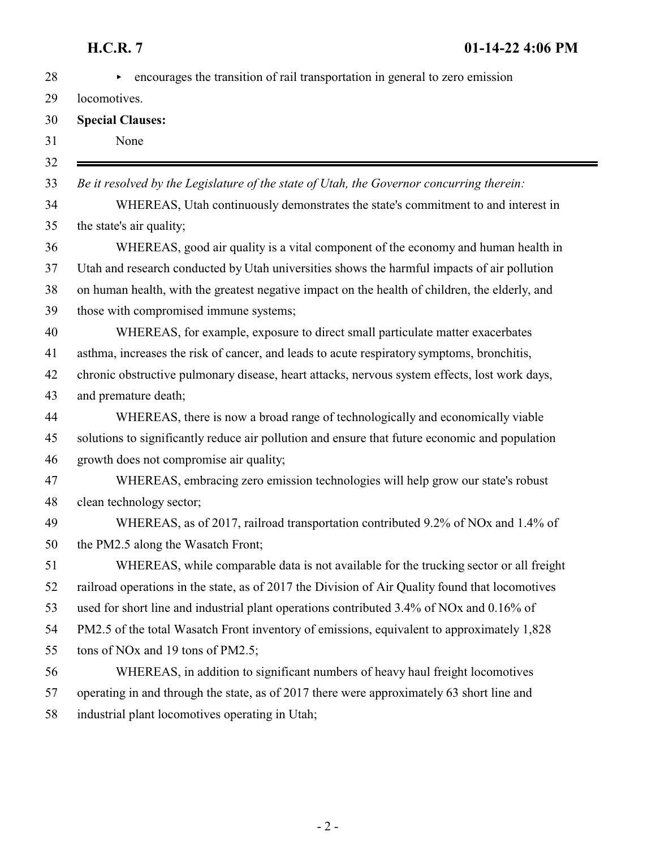| 28 | encourages the transition of rail transportation in general to zero emission<br>Þ.              |
|----|-------------------------------------------------------------------------------------------------|
| 29 | locomotives.                                                                                    |
| 30 | <b>Special Clauses:</b>                                                                         |
| 31 | None                                                                                            |
| 32 |                                                                                                 |
| 33 | Be it resolved by the Legislature of the state of Utah, the Governor concurring therein:        |
| 34 | WHEREAS, Utah continuously demonstrates the state's commitment to and interest in               |
| 35 | the state's air quality;                                                                        |
| 36 | WHEREAS, good air quality is a vital component of the economy and human health in               |
| 37 | Utah and research conducted by Utah universities shows the harmful impacts of air pollution     |
| 38 | on human health, with the greatest negative impact on the health of children, the elderly, and  |
| 39 | those with compromised immune systems;                                                          |
| 40 | WHEREAS, for example, exposure to direct small particulate matter exacerbates                   |
| 41 | asthma, increases the risk of cancer, and leads to acute respiratory symptoms, bronchitis,      |
| 42 | chronic obstructive pulmonary disease, heart attacks, nervous system effects, lost work days,   |
| 43 | and premature death;                                                                            |
| 44 | WHEREAS, there is now a broad range of technologically and economically viable                  |
| 45 | solutions to significantly reduce air pollution and ensure that future economic and population  |
| 46 | growth does not compromise air quality;                                                         |
| 47 | WHEREAS, embracing zero emission technologies will help grow our state's robust                 |
| 48 | clean technology sector;                                                                        |
| 49 | WHEREAS, as of 2017, railroad transportation contributed 9.2% of NOx and 1.4% of                |
| 50 | the PM2.5 along the Wasatch Front;                                                              |
| 51 | WHEREAS, while comparable data is not available for the trucking sector or all freight          |
| 52 | railroad operations in the state, as of 2017 the Division of Air Quality found that locomotives |
| 53 | used for short line and industrial plant operations contributed 3.4% of NOx and 0.16% of        |
| 54 | PM2.5 of the total Wasatch Front inventory of emissions, equivalent to approximately 1,828      |
| 55 | tons of NO <sub>x</sub> and 19 tons of PM2.5;                                                   |
| 56 | WHEREAS, in addition to significant numbers of heavy haul freight locomotives                   |
| 57 | operating in and through the state, as of 2017 there were approximately 63 short line and       |
| 58 | industrial plant locomotives operating in Utah;                                                 |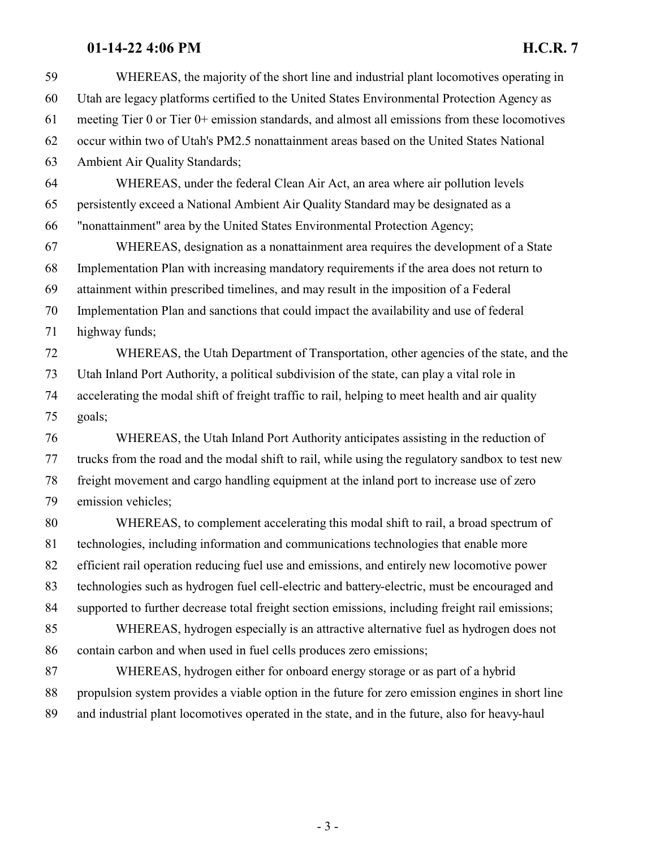## **01-14-22 4:06 PM H.C.R. 7**

| 59 | WHEREAS, the majority of the short line and industrial plant locomotives operating in            |
|----|--------------------------------------------------------------------------------------------------|
| 60 | Utah are legacy platforms certified to the United States Environmental Protection Agency as      |
| 61 | meeting Tier 0 or Tier 0+ emission standards, and almost all emissions from these locomotives    |
| 62 | occur within two of Utah's PM2.5 nonattainment areas based on the United States National         |
| 63 | Ambient Air Quality Standards;                                                                   |
| 64 | WHEREAS, under the federal Clean Air Act, an area where air pollution levels                     |
| 65 | persistently exceed a National Ambient Air Quality Standard may be designated as a               |
| 66 | "nonattainment" area by the United States Environmental Protection Agency;                       |
| 67 | WHEREAS, designation as a nonattainment area requires the development of a State                 |
| 68 | Implementation Plan with increasing mandatory requirements if the area does not return to        |
| 69 | attainment within prescribed timelines, and may result in the imposition of a Federal            |
| 70 | Implementation Plan and sanctions that could impact the availability and use of federal          |
| 71 | highway funds;                                                                                   |
| 72 | WHEREAS, the Utah Department of Transportation, other agencies of the state, and the             |
| 73 | Utah Inland Port Authority, a political subdivision of the state, can play a vital role in       |
| 74 | accelerating the modal shift of freight traffic to rail, helping to meet health and air quality  |
| 75 | goals;                                                                                           |
| 76 | WHEREAS, the Utah Inland Port Authority anticipates assisting in the reduction of                |
| 77 | trucks from the road and the modal shift to rail, while using the regulatory sandbox to test new |
| 78 | freight movement and cargo handling equipment at the inland port to increase use of zero         |
| 79 | emission vehicles;                                                                               |
| 80 | WHEREAS, to complement accelerating this modal shift to rail, a broad spectrum of                |
| 81 | technologies, including information and communications technologies that enable more             |
| 82 | efficient rail operation reducing fuel use and emissions, and entirely new locomotive power      |
| 83 | technologies such as hydrogen fuel cell-electric and battery-electric, must be encouraged and    |
| 84 | supported to further decrease total freight section emissions, including freight rail emissions; |
| 85 | WHEREAS, hydrogen especially is an attractive alternative fuel as hydrogen does not              |
| 86 | contain carbon and when used in fuel cells produces zero emissions;                              |
| 87 | WHEREAS, hydrogen either for onboard energy storage or as part of a hybrid                       |
| 88 | propulsion system provides a viable option in the future for zero emission engines in short line |
| 89 | and industrial plant locomotives operated in the state, and in the future, also for heavy-haul   |